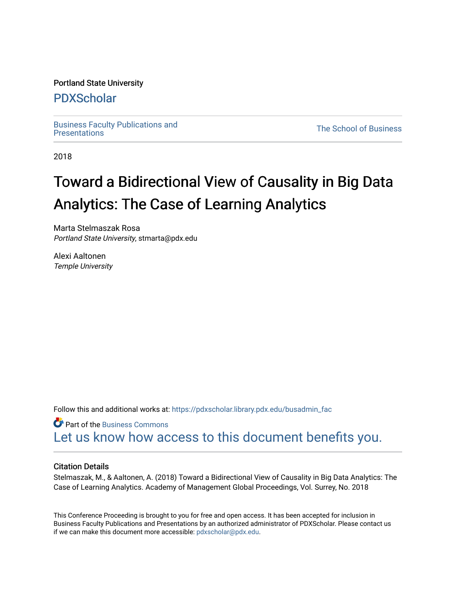#### Portland State University

### [PDXScholar](https://pdxscholar.library.pdx.edu/)

[Business Faculty Publications and](https://pdxscholar.library.pdx.edu/busadmin_fac) 

**The School of Business** 

2018

# Toward a Bidirectional View of Causality in Big Data Analytics: The Case of Learning Analytics

Marta Stelmaszak Rosa Portland State University, stmarta@pdx.edu

Alexi Aaltonen Temple University

Follow this and additional works at: [https://pdxscholar.library.pdx.edu/busadmin\\_fac](https://pdxscholar.library.pdx.edu/busadmin_fac?utm_source=pdxscholar.library.pdx.edu%2Fbusadmin_fac%2F253&utm_medium=PDF&utm_campaign=PDFCoverPages) 

**Part of the [Business Commons](http://network.bepress.com/hgg/discipline/622?utm_source=pdxscholar.library.pdx.edu%2Fbusadmin_fac%2F253&utm_medium=PDF&utm_campaign=PDFCoverPages)** [Let us know how access to this document benefits you.](http://library.pdx.edu/services/pdxscholar-services/pdxscholar-feedback/?ref=https://pdxscholar.library.pdx.edu/busadmin_fac/253) 

#### Citation Details

Stelmaszak, M., & Aaltonen, A. (2018) Toward a Bidirectional View of Causality in Big Data Analytics: The Case of Learning Analytics. Academy of Management Global Proceedings, Vol. Surrey, No. 2018

This Conference Proceeding is brought to you for free and open access. It has been accepted for inclusion in Business Faculty Publications and Presentations by an authorized administrator of PDXScholar. Please contact us if we can make this document more accessible: [pdxscholar@pdx.edu.](mailto:pdxscholar@pdx.edu)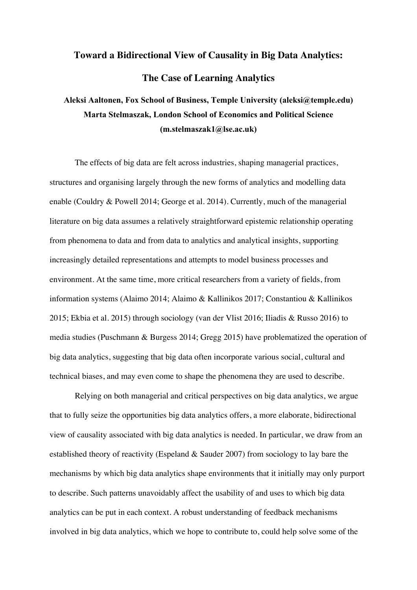## **Toward a Bidirectional View of Causality in Big Data Analytics: The Case of Learning Analytics**

## **Aleksi Aaltonen, Fox School of Business, Temple University (aleksi@temple.edu) Marta Stelmaszak, London School of Economics and Political Science (m.stelmaszak1@lse.ac.uk)**

The effects of big data are felt across industries, shaping managerial practices, structures and organising largely through the new forms of analytics and modelling data enable (Couldry & Powell 2014; George et al. 2014). Currently, much of the managerial literature on big data assumes a relatively straightforward epistemic relationship operating from phenomena to data and from data to analytics and analytical insights, supporting increasingly detailed representations and attempts to model business processes and environment. At the same time, more critical researchers from a variety of fields, from information systems (Alaimo 2014; Alaimo & Kallinikos 2017; Constantiou & Kallinikos 2015; Ekbia et al. 2015) through sociology (van der Vlist 2016; Iliadis & Russo 2016) to media studies (Puschmann & Burgess 2014; Gregg 2015) have problematized the operation of big data analytics, suggesting that big data often incorporate various social, cultural and technical biases, and may even come to shape the phenomena they are used to describe.

Relying on both managerial and critical perspectives on big data analytics, we argue that to fully seize the opportunities big data analytics offers, a more elaborate, bidirectional view of causality associated with big data analytics is needed. In particular, we draw from an established theory of reactivity (Espeland & Sauder 2007) from sociology to lay bare the mechanisms by which big data analytics shape environments that it initially may only purport to describe. Such patterns unavoidably affect the usability of and uses to which big data analytics can be put in each context. A robust understanding of feedback mechanisms involved in big data analytics, which we hope to contribute to, could help solve some of the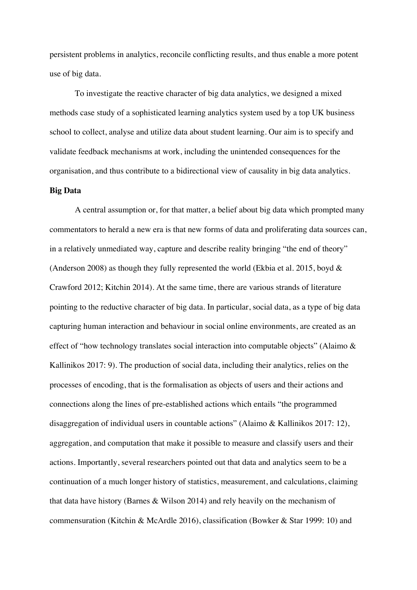persistent problems in analytics, reconcile conflicting results, and thus enable a more potent use of big data.

To investigate the reactive character of big data analytics, we designed a mixed methods case study of a sophisticated learning analytics system used by a top UK business school to collect, analyse and utilize data about student learning. Our aim is to specify and validate feedback mechanisms at work, including the unintended consequences for the organisation, and thus contribute to a bidirectional view of causality in big data analytics.

#### **Big Data**

A central assumption or, for that matter, a belief about big data which prompted many commentators to herald a new era is that new forms of data and proliferating data sources can, in a relatively unmediated way, capture and describe reality bringing "the end of theory" (Anderson 2008) as though they fully represented the world (Ekbia et al. 2015, boyd & Crawford 2012; Kitchin 2014). At the same time, there are various strands of literature pointing to the reductive character of big data. In particular, social data, as a type of big data capturing human interaction and behaviour in social online environments, are created as an effect of "how technology translates social interaction into computable objects" (Alaimo & Kallinikos 2017: 9). The production of social data, including their analytics, relies on the processes of encoding, that is the formalisation as objects of users and their actions and connections along the lines of pre-established actions which entails "the programmed disaggregation of individual users in countable actions" (Alaimo & Kallinikos 2017: 12), aggregation, and computation that make it possible to measure and classify users and their actions. Importantly, several researchers pointed out that data and analytics seem to be a continuation of a much longer history of statistics, measurement, and calculations, claiming that data have history (Barnes & Wilson 2014) and rely heavily on the mechanism of commensuration (Kitchin & McArdle 2016), classification (Bowker & Star 1999: 10) and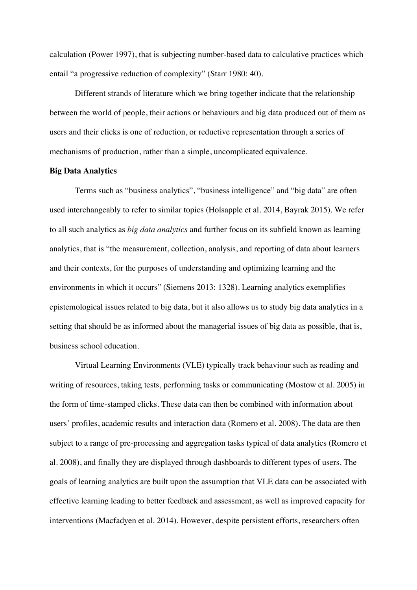calculation (Power 1997), that is subjecting number-based data to calculative practices which entail "a progressive reduction of complexity" (Starr 1980: 40).

Different strands of literature which we bring together indicate that the relationship between the world of people, their actions or behaviours and big data produced out of them as users and their clicks is one of reduction, or reductive representation through a series of mechanisms of production, rather than a simple, uncomplicated equivalence.

#### **Big Data Analytics**

Terms such as "business analytics", "business intelligence" and "big data" are often used interchangeably to refer to similar topics (Holsapple et al. 2014, Bayrak 2015). We refer to all such analytics as *big data analytics* and further focus on its subfield known as learning analytics, that is "the measurement, collection, analysis, and reporting of data about learners and their contexts, for the purposes of understanding and optimizing learning and the environments in which it occurs" (Siemens 2013: 1328). Learning analytics exemplifies epistemological issues related to big data, but it also allows us to study big data analytics in a setting that should be as informed about the managerial issues of big data as possible, that is, business school education.

Virtual Learning Environments (VLE) typically track behaviour such as reading and writing of resources, taking tests, performing tasks or communicating (Mostow et al. 2005) in the form of time-stamped clicks. These data can then be combined with information about users' profiles, academic results and interaction data (Romero et al. 2008). The data are then subject to a range of pre-processing and aggregation tasks typical of data analytics (Romero et al. 2008), and finally they are displayed through dashboards to different types of users. The goals of learning analytics are built upon the assumption that VLE data can be associated with effective learning leading to better feedback and assessment, as well as improved capacity for interventions (Macfadyen et al. 2014). However, despite persistent efforts, researchers often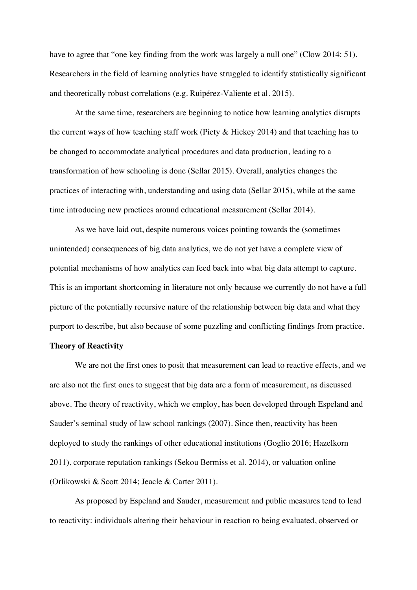have to agree that "one key finding from the work was largely a null one" (Clow 2014: 51). Researchers in the field of learning analytics have struggled to identify statistically significant and theoretically robust correlations (e.g. Ruipérez-Valiente et al. 2015).

At the same time, researchers are beginning to notice how learning analytics disrupts the current ways of how teaching staff work (Piety & Hickey 2014) and that teaching has to be changed to accommodate analytical procedures and data production, leading to a transformation of how schooling is done (Sellar 2015). Overall, analytics changes the practices of interacting with, understanding and using data (Sellar 2015), while at the same time introducing new practices around educational measurement (Sellar 2014).

As we have laid out, despite numerous voices pointing towards the (sometimes unintended) consequences of big data analytics, we do not yet have a complete view of potential mechanisms of how analytics can feed back into what big data attempt to capture. This is an important shortcoming in literature not only because we currently do not have a full picture of the potentially recursive nature of the relationship between big data and what they purport to describe, but also because of some puzzling and conflicting findings from practice.

#### **Theory of Reactivity**

We are not the first ones to posit that measurement can lead to reactive effects, and we are also not the first ones to suggest that big data are a form of measurement, as discussed above. The theory of reactivity, which we employ, has been developed through Espeland and Sauder's seminal study of law school rankings (2007). Since then, reactivity has been deployed to study the rankings of other educational institutions (Goglio 2016; Hazelkorn 2011), corporate reputation rankings (Sekou Bermiss et al. 2014), or valuation online (Orlikowski & Scott 2014; Jeacle & Carter 2011).

As proposed by Espeland and Sauder, measurement and public measures tend to lead to reactivity: individuals altering their behaviour in reaction to being evaluated, observed or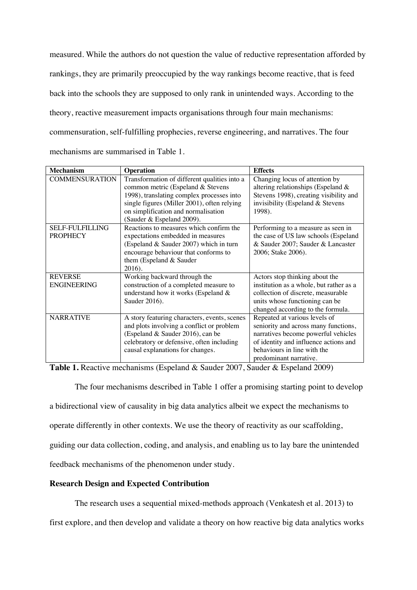measured. While the authors do not question the value of reductive representation afforded by rankings, they are primarily preoccupied by the way rankings become reactive, that is feed back into the schools they are supposed to only rank in unintended ways. According to the theory, reactive measurement impacts organisations through four main mechanisms: commensuration, self-fulfilling prophecies, reverse engineering, and narratives. The four mechanisms are summarised in Table 1.

| <b>Mechanism</b>       | <b>Operation</b>                             | <b>Effects</b>                          |
|------------------------|----------------------------------------------|-----------------------------------------|
| <b>COMMENSURATION</b>  | Transformation of different qualities into a | Changing locus of attention by          |
|                        | common metric (Espeland & Stevens            | altering relationships (Espeland &      |
|                        | 1998), translating complex processes into    | Stevens 1998), creating visibility and  |
|                        | single figures (Miller 2001), often relying  | invisibility (Espeland & Stevens        |
|                        | on simplification and normalisation          | 1998).                                  |
|                        | Sauder & Espeland 2009).                     |                                         |
| <b>SELF-FULFILLING</b> | Reactions to measures which confirm the      | Performing to a measure as seen in      |
| <b>PROPHECY</b>        | expectations embedded in measures            | the case of US law schools (Espeland    |
|                        | (Espeland & Sauder 2007) which in turn       | & Sauder 2007; Sauder & Lancaster       |
|                        | encourage behaviour that conforms to         | 2006; Stake 2006).                      |
|                        | them (Espeland & Sauder                      |                                         |
|                        | 2016).                                       |                                         |
| <b>REVERSE</b>         | Working backward through the                 | Actors stop thinking about the          |
| <b>ENGINEERING</b>     | construction of a completed measure to       | institution as a whole, but rather as a |
|                        | understand how it works (Espeland &          | collection of discrete, measurable      |
|                        | Sauder 2016).                                | units whose functioning can be          |
|                        |                                              | changed according to the formula.       |
| <b>NARRATIVE</b>       | A story featuring characters, events, scenes | Repeated at various levels of           |
|                        | and plots involving a conflict or problem    | seniority and across many functions,    |
|                        | (Espeland & Sauder 2016), can be             | narratives become powerful vehicles     |
|                        | celebratory or defensive, often including    | of identity and influence actions and   |
|                        | causal explanations for changes.             | behaviours in line with the             |
|                        |                                              | predominant narrative.                  |

**Table 1.** Reactive mechanisms (Espeland & Sauder 2007, Sauder & Espeland 2009)

The four mechanisms described in Table 1 offer a promising starting point to develop a bidirectional view of causality in big data analytics albeit we expect the mechanisms to operate differently in other contexts. We use the theory of reactivity as our scaffolding, guiding our data collection, coding, and analysis, and enabling us to lay bare the unintended feedback mechanisms of the phenomenon under study.

#### **Research Design and Expected Contribution**

The research uses a sequential mixed-methods approach (Venkatesh et al. 2013) to

first explore, and then develop and validate a theory on how reactive big data analytics works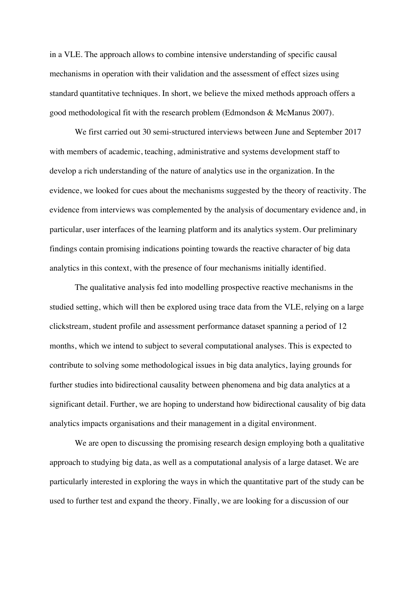in a VLE. The approach allows to combine intensive understanding of specific causal mechanisms in operation with their validation and the assessment of effect sizes using standard quantitative techniques. In short, we believe the mixed methods approach offers a good methodological fit with the research problem (Edmondson & McManus 2007).

We first carried out 30 semi-structured interviews between June and September 2017 with members of academic, teaching, administrative and systems development staff to develop a rich understanding of the nature of analytics use in the organization. In the evidence, we looked for cues about the mechanisms suggested by the theory of reactivity. The evidence from interviews was complemented by the analysis of documentary evidence and, in particular, user interfaces of the learning platform and its analytics system. Our preliminary findings contain promising indications pointing towards the reactive character of big data analytics in this context, with the presence of four mechanisms initially identified.

The qualitative analysis fed into modelling prospective reactive mechanisms in the studied setting, which will then be explored using trace data from the VLE, relying on a large clickstream, student profile and assessment performance dataset spanning a period of 12 months, which we intend to subject to several computational analyses. This is expected to contribute to solving some methodological issues in big data analytics, laying grounds for further studies into bidirectional causality between phenomena and big data analytics at a significant detail. Further, we are hoping to understand how bidirectional causality of big data analytics impacts organisations and their management in a digital environment.

We are open to discussing the promising research design employing both a qualitative approach to studying big data, as well as a computational analysis of a large dataset. We are particularly interested in exploring the ways in which the quantitative part of the study can be used to further test and expand the theory. Finally, we are looking for a discussion of our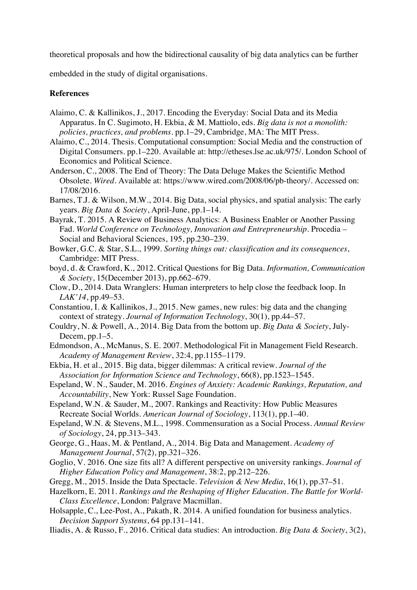theoretical proposals and how the bidirectional causality of big data analytics can be further

embedded in the study of digital organisations.

#### **References**

- Alaimo, C. & Kallinikos, J., 2017. Encoding the Everyday: Social Data and its Media Apparatus. In C. Sugimoto, H. Ekbia, & M. Mattiolo, eds. *Big data is not a monolith: policies, practices, and problems.* pp.1–29, Cambridge, MA: The MIT Press.
- Alaimo, C., 2014. Thesis. Computational consumption: Social Media and the construction of Digital Consumers. pp.1–220. Available at: http://etheses.lse.ac.uk/975/. London School of Economics and Political Science.
- Anderson, C., 2008. The End of Theory: The Data Deluge Makes the Scientific Method Obsolete. *Wired*. Available at: https://www.wired.com/2008/06/pb-theory/. Accessed on: 17/08/2016.
- Barnes, T.J. & Wilson, M.W., 2014. Big Data, social physics, and spatial analysis: The early years. *Big Data & Society*, April-June, pp.1–14.
- Bayrak, T. 2015. A Review of Business Analytics: A Business Enabler or Another Passing Fad. *World Conference on Technology, Innovation and Entrepreneurship*. Procedia – Social and Behavioral Sciences, 195, pp.230–239.
- Bowker, G.C. & Star, S.L., 1999. *Sorting things out: classification and its consequences*, Cambridge: MIT Press.
- boyd, d. & Crawford, K., 2012. Critical Questions for Big Data. *Information, Communication & Society*, 15(December 2013), pp.662–679.
- Clow, D., 2014. Data Wranglers: Human interpreters to help close the feedback loop. In *LAK'14*, pp.49–53.
- Constantiou, I. & Kallinikos, J., 2015. New games, new rules: big data and the changing context of strategy. *Journal of Information Technology*, 30(1), pp.44–57.
- Couldry, N. & Powell, A., 2014. Big Data from the bottom up. *Big Data & Society*, July-Decem, pp.1–5.
- Edmondson, A., McManus, S. E. 2007. Methodological Fit in Management Field Research. *Academy of Management Review*, 32:4, pp.1155–1179.
- Ekbia, H. et al., 2015. Big data, bigger dilemmas: A critical review. *Journal of the Association for Information Science and Technology*, 66(8), pp.1523–1545.
- Espeland, W. N., Sauder, M. 2016. *Engines of Anxiety: Academic Rankings, Reputation, and Accountability*, New York: Russel Sage Foundation.
- Espeland, W.N. & Sauder, M., 2007. Rankings and Reactivity: How Public Measures Recreate Social Worlds. *American Journal of Sociology*, 113(1), pp.1–40.
- Espeland, W.N. & Stevens, M.L., 1998. Commensuration as a Social Process. *Annual Review of Sociology*, 24, pp.313–343.
- George, G., Haas, M. & Pentland, A., 2014. Big Data and Management. *Academy of Management Journal*, 57(2), pp.321–326.
- Goglio, V. 2016. One size fits all? A different perspective on university rankings. *Journal of Higher Education Policy and Management*, 38:2, pp.212–226.
- Gregg, M., 2015. Inside the Data Spectacle. *Television & New Media*, 16(1), pp.37–51.
- Hazelkorn, E. 2011. *Rankings and the Reshaping of Higher Education. The Battle for World-Class Excellence*, London: Palgrave Macmillan.
- Holsapple, C., Lee-Post, A., Pakath, R. 2014. A unified foundation for business analytics. *Decision Support Systems*, 64 pp.131–141.
- Iliadis, A. & Russo, F., 2016. Critical data studies: An introduction. *Big Data & Society*, 3(2),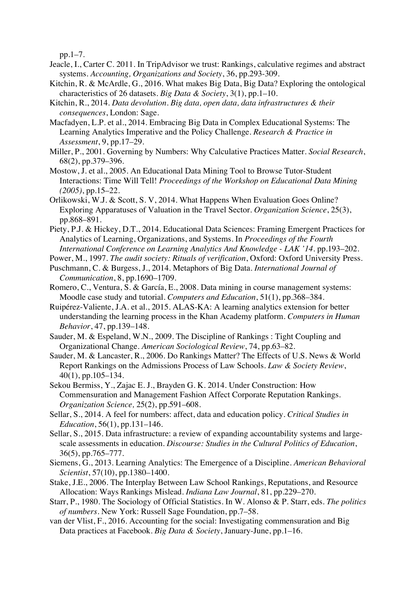pp.1–7.

- Jeacle, I., Carter C. 2011. In TripAdvisor we trust: Rankings, calculative regimes and abstract systems. *Accounting, Organizations and Society*, 36, pp.293-309.
- Kitchin, R. & McArdle, G., 2016. What makes Big Data, Big Data? Exploring the ontological characteristics of 26 datasets. *Big Data & Society*, 3(1), pp.1–10.
- Kitchin, R., 2014. *Data devolution. Big data, open data, data infrastructures & their consequences*, London: Sage.
- Macfadyen, L.P. et al., 2014. Embracing Big Data in Complex Educational Systems: The Learning Analytics Imperative and the Policy Challenge. *Research & Practice in Assessment*, 9, pp.17–29.
- Miller, P., 2001. Governing by Numbers: Why Calculative Practices Matter. *Social Research*, 68(2), pp.379–396.
- Mostow, J. et al., 2005. An Educational Data Mining Tool to Browse Tutor-Student Interactions: Time Will Tell! *Proceedings of the Workshop on Educational Data Mining (2005)*, pp.15–22.
- Orlikowski, W.J. & Scott, S. V, 2014. What Happens When Evaluation Goes Online? Exploring Apparatuses of Valuation in the Travel Sector. *Organization Science*, 25(3), pp.868–891.
- Piety, P.J. & Hickey, D.T., 2014. Educational Data Sciences: Framing Emergent Practices for Analytics of Learning, Organizations, and Systems. In *Proceedings of the Fourth International Conference on Learning Analytics And Knowledge - LAK '14*. pp.193–202.
- Power, M., 1997. *The audit society: Rituals of verification*, Oxford: Oxford University Press.
- Puschmann, C. & Burgess, J., 2014. Metaphors of Big Data. *International Journal of Communication*, 8, pp.1690–1709.
- Romero, C., Ventura, S. & García, E., 2008. Data mining in course management systems: Moodle case study and tutorial. *Computers and Education*, 51(1), pp.368–384.
- Ruipérez-Valiente, J.A. et al., 2015. ALAS-KA: A learning analytics extension for better understanding the learning process in the Khan Academy platform. *Computers in Human Behavior*, 47, pp.139–148.
- Sauder, M. & Espeland, W.N., 2009. The Discipline of Rankings : Tight Coupling and Organizational Change. *American Sociological Review*, 74, pp.63–82.
- Sauder, M. & Lancaster, R., 2006. Do Rankings Matter? The Effects of U.S. News & World Report Rankings on the Admissions Process of Law Schools. *Law & Society Review*, 40(1), pp.105–134.
- Sekou Bermiss, Y., Zajac E. J., Brayden G. K. 2014. Under Construction: How Commensuration and Management Fashion Affect Corporate Reputation Rankings. *Organization Science,* 25(2), pp.591–608.
- Sellar, S., 2014. A feel for numbers: affect, data and education policy. *Critical Studies in Education*, 56(1), pp.131–146.
- Sellar, S., 2015. Data infrastructure: a review of expanding accountability systems and largescale assessments in education. *Discourse: Studies in the Cultural Politics of Education*, 36(5), pp.765–777.
- Siemens, G., 2013. Learning Analytics: The Emergence of a Discipline. *American Behavioral Scientist*, 57(10), pp.1380–1400.
- Stake, J.E., 2006. The Interplay Between Law School Rankings, Reputations, and Resource Allocation: Ways Rankings Mislead. *Indiana Law Journal*, 81, pp.229–270.
- Starr, P., 1980. The Sociology of Official Statistics. In W. Alonso & P. Starr, eds. *The politics of numbers*. New York: Russell Sage Foundation, pp.7–58.
- van der Vlist, F., 2016. Accounting for the social: Investigating commensuration and Big Data practices at Facebook. *Big Data & Society*, January-June, pp.1–16.